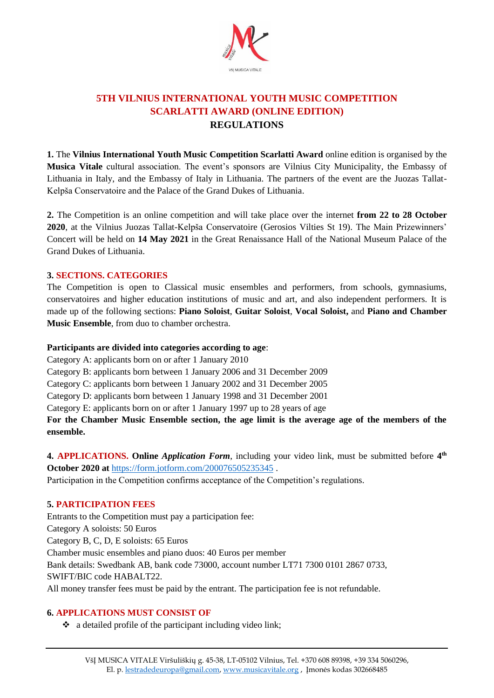

# **5TH VILNIUS INTERNATIONAL YOUTH MUSIC COMPETITION SCARLATTI AWARD (ONLINE EDITION) REGULATIONS**

**1.** The **Vilnius International Youth Music Competition Scarlatti Award** online edition is organised by the **Musica Vitale** cultural association. The event's sponsors are Vilnius City Municipality, the Embassy of Lithuania in Italy, and the Embassy of Italy in Lithuania. The partners of the event are the Juozas Tallat-Kelpša Conservatoire and the Palace of the Grand Dukes of Lithuania.

**2.** The Competition is an online competition and will take place over the internet **from 22 to 28 October 2020**, at the Vilnius Juozas Tallat-Kelpša Conservatoire (Gerosios Vilties St 19). The Main Prizewinners' Concert will be held on **14 May 2021** in the Great Renaissance Hall of the National Museum Palace of the Grand Dukes of Lithuania.

#### **3. SECTIONS. CATEGORIES**

The Competition is open to Classical music ensembles and performers, from schools, gymnasiums, conservatoires and higher education institutions of music and art, and also independent performers. It is made up of the following sections: **Piano Soloist**, **Guitar Soloist**, **Vocal Soloist,** and **Piano and Chamber Music Ensemble**, from duo to chamber orchestra.

#### **Participants are divided into categories according to age**:

Category A: applicants born on or after 1 January 2010

Category B: applicants born between 1 January 2006 and 31 December 2009

Category C: applicants born between 1 January 2002 and 31 December 2005

Category D: applicants born between 1 January 1998 and 31 December 2001

Category E: applicants born on or after 1 January 1997 up to 28 years of age

**For the Chamber Music Ensemble section, the age limit is the average age of the members of the ensemble.** 

**4. APPLICATIONS. Online** *Application Form*, including your video link, must be submitted before **4 th October 2020 at** <https://form.jotform.com/200076505235345> .

Participation in the Competition confirms acceptance of the Competition's regulations.

#### **5. PARTICIPATION FEES**

Entrants to the Competition must pay a participation fee: Category A soloists: 50 Euros Category B, C, D, E soloists: 65 Euros Chamber music ensembles and piano duos: 40 Euros per member Bank details: Swedbank AB, bank code 73000, account number LT71 7300 0101 2867 0733, SWIFT/BIC code HABALT22. All money transfer fees must be paid by the entrant. The participation fee is not refundable.

### **6. APPLICATIONS MUST CONSIST OF**

❖ a detailed profile of the participant including video link;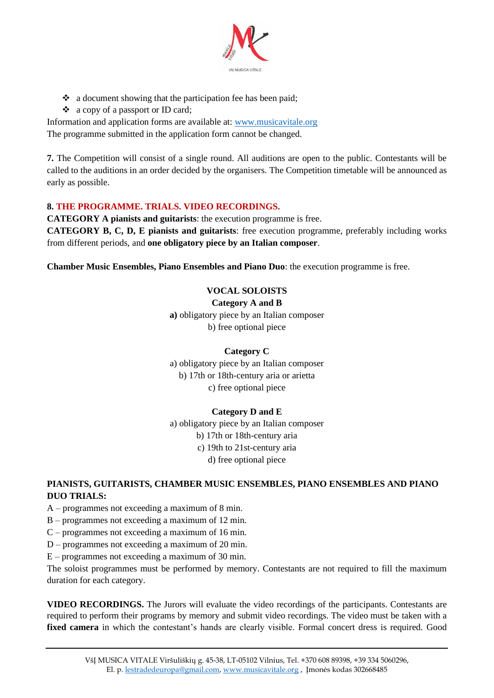

- ❖ a document showing that the participation fee has been paid;
- ❖ a copy of a passport or ID card;

Information and application forms are available at: [www.musicavitale.org](file:///C:/Users/Asus/AppData/Local/Packages/www.musicavitale.org) The programme submitted in the application form cannot be changed.

**7.** The Competition will consist of a single round. All auditions are open to the public. Contestants will be called to the auditions in an order decided by the organisers. The Competition timetable will be announced as early as possible.

#### **8. THE PROGRAMME. TRIALS. VIDEO RECORDINGS.**

**CATEGORY A pianists and guitarists**: the execution programme is free.

**CATEGORY B, C, D, E pianists and guitarists**: free execution programme, preferably including works from different periods, and **one obligatory piece by an Italian composer**.

**Chamber Music Ensembles, Piano Ensembles and Piano Duo**: the execution programme is free.

### **VOCAL SOLOISTS**

**Category A and B**

**a)** obligatory piece by an Italian composer b) free optional piece

#### **Category C**

a) obligatory piece by an Italian composer b) 17th or 18th-century aria or arietta c) free optional piece

#### **Category D and E**

a) obligatory piece by an Italian composer b) 17th or 18th-century aria c) 19th to 21st-century aria d) free optional piece

### **PIANISTS, GUITARISTS, CHAMBER MUSIC ENSEMBLES, PIANO ENSEMBLES AND PIANO DUO TRIALS:**

- A programmes not exceeding a maximum of 8 min.
- B programmes not exceeding a maximum of 12 min.
- C programmes not exceeding a maximum of 16 min.
- D programmes not exceeding a maximum of 20 min.
- E programmes not exceeding a maximum of 30 min.

The soloist programmes must be performed by memory. Contestants are not required to fill the maximum duration for each category.

**VIDEO RECORDINGS.** The Jurors will evaluate the video recordings of the participants. Contestants are required to perform their programs by memory and submit video recordings. The video must be taken with a **fixed camera** in which the contestant's hands are clearly visible. Formal concert dress is required. Good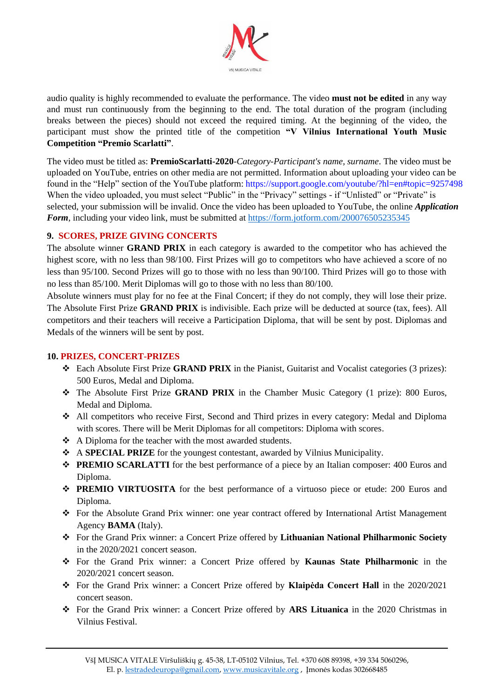

audio quality is highly recommended to evaluate the performance. The video **must not be edited** in any way and must run continuously from the beginning to the end. The total duration of the program (including breaks between the pieces) should not exceed the required timing. At the beginning of the video, the participant must show the printed title of the competition **"V Vilnius International Youth Music Competition "Premio Scarlatti"**.

The video must be titled as: **PremioScarlatti-2020**-*Category-Participant's name, surname*. The video must be uploaded on YouTube, entries on other media are not permitted. Information about uploading your video can be found in the "Help" section of the YouTube platform: https://support.google.com/youtube/?hl=en#topic=9257498 When the video uploaded, you must select "Public" in the "Privacy" settings - if "Unlisted" or "Private" is selected, your submission will be invalid. Once the video has been uploaded to YouTube, the online *Application Form*, including your video link, must be submitted at <https://form.jotform.com/200076505235345>

#### **9. SCORES, PRIZE GIVING CONCERTS**

The absolute winner **GRAND PRIX** in each category is awarded to the competitor who has achieved the highest score, with no less than 98/100. First Prizes will go to competitors who have achieved a score of no less than 95/100. Second Prizes will go to those with no less than 90/100. Third Prizes will go to those with no less than 85/100. Merit Diplomas will go to those with no less than 80/100.

Absolute winners must play for no fee at the Final Concert; if they do not comply, they will lose their prize. The Absolute First Prize **GRAND PRIX** is indivisible. Each prize will be deducted at source (tax, fees). All competitors and their teachers will receive a Participation Diploma, that will be sent by post. Diplomas and Medals of the winners will be sent by post.

#### **10. PRIZES, CONCERT-PRIZES**

- ❖ Each Absolute First Prize **GRAND PRIX** in the Pianist, Guitarist and Vocalist categories (3 prizes): 500 Euros, Medal and Diploma.
- ❖ The Absolute First Prize **GRAND PRIX** in the Chamber Music Category (1 prize): 800 Euros, Medal and Diploma.
- ❖ All competitors who receive First, Second and Third prizes in every category: Medal and Diploma with scores. There will be Merit Diplomas for all competitors: Diploma with scores.
- ❖ A Diploma for the teacher with the most awarded students.
- ❖ A **SPECIAL PRIZE** for the youngest contestant, awarded by Vilnius Municipality.
- ❖ **PREMIO SCARLATTI** for the best performance of a piece by an Italian composer: 400 Euros and Diploma.
- ❖ **PREMIO VIRTUOSITA** for the best performance of a virtuoso piece or etude: 200 Euros and Diploma.
- ❖ For the Absolute Grand Prix winner: one year contract offered by International Artist Management Agency **BAMA** (Italy).
- ❖ For the Grand Prix winner: a Concert Prize offered by **Lithuanian National Philharmonic Society** in the 2020/2021 concert season.
- ❖ For the Grand Prix winner: a Concert Prize offered by **Kaunas State Philharmonic** in the 2020/2021 concert season.
- ❖ For the Grand Prix winner: a Concert Prize offered by **Klaipėda Concert Hall** in the 2020/2021 concert season.
- ❖ For the Grand Prix winner: a Concert Prize offered by **ARS Lituanica** in the 2020 Christmas in Vilnius Festival.